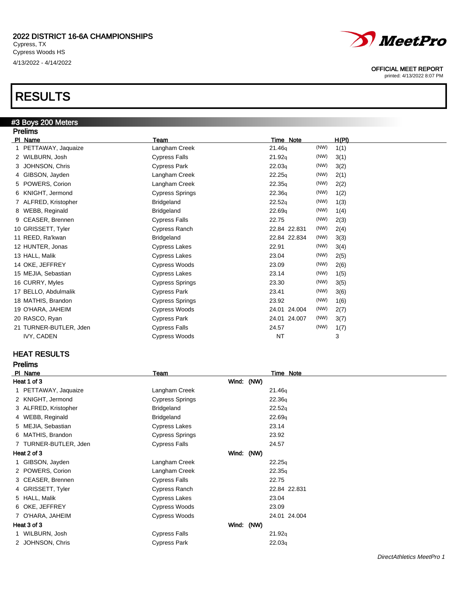

#### OFFICIAL MEET REPORT

printed: 4/13/2022 8:07 PM

# RESULTS

## #3 Boys 200 Meters

| <b>Prelims</b>         |                        |                      |              |
|------------------------|------------------------|----------------------|--------------|
| PI Name                | Team                   | Time Note            | <u>H(PI)</u> |
| 1 PETTAWAY, Jaquaize   | Langham Creek          | (NW)<br>21.46q       | 1(1)         |
| 2 WILBURN, Josh        | <b>Cypress Falls</b>   | (NW)<br>21.92q       | 3(1)         |
| 3 JOHNSON, Chris       | <b>Cypress Park</b>    | (NW)<br>22.03q       | 3(2)         |
| 4 GIBSON, Jayden       | Langham Creek          | (NW)<br>22.25q       | 2(1)         |
| 5 POWERS, Corion       | Langham Creek          | (NW)<br>22.35q       | 2(2)         |
| 6 KNIGHT, Jermond      | <b>Cypress Springs</b> | (NW)<br>22.36q       | 1(2)         |
| 7 ALFRED, Kristopher   | Bridgeland             | (NW)<br>22.52q       | 1(3)         |
| 8 WEBB, Reginald       | <b>Bridgeland</b>      | (NW)<br>22.69q       | 1(4)         |
| 9 CEASER, Brennen      | <b>Cypress Falls</b>   | (NW)<br>22.75        | 2(3)         |
| 10 GRISSETT, Tyler     | Cypress Ranch          | (NW)<br>22.84 22.831 | 2(4)         |
| 11 REED, Ra'kwan       | <b>Bridgeland</b>      | (NW)<br>22.84 22.834 | 3(3)         |
| 12 HUNTER, Jonas       | <b>Cypress Lakes</b>   | (NW)<br>22.91        | 3(4)         |
| 13 HALL, Malik         | <b>Cypress Lakes</b>   | (NW)<br>23.04        | 2(5)         |
| 14 OKE, JEFFREY        | Cypress Woods          | (NW)<br>23.09        | 2(6)         |
| 15 MEJIA, Sebastian    | <b>Cypress Lakes</b>   | (NW)<br>23.14        | 1(5)         |
| 16 CURRY, Myles        | <b>Cypress Springs</b> | (NW)<br>23.30        | 3(5)         |
| 17 BELLO, Abdulmalik   | <b>Cypress Park</b>    | (NW)<br>23.41        | 3(6)         |
| 18 MATHIS, Brandon     | <b>Cypress Springs</b> | (NW)<br>23.92        | 1(6)         |
| 19 O'HARA, JAHEIM      | Cypress Woods          | (NW)<br>24.01 24.004 | 2(7)         |
| 20 RASCO, Ryan         | <b>Cypress Park</b>    | 24.01 24.007<br>(NW) | 3(7)         |
| 21 TURNER-BUTLER, Jden | <b>Cypress Falls</b>   | (NW)<br>24.57        | 1(7)         |
| IVY, CADEN             | <b>Cypress Woods</b>   | <b>NT</b>            | 3            |

### HEAT RESULTS

Prelims

| PI Name               | <b>Team</b>            | Time Note    |  |
|-----------------------|------------------------|--------------|--|
| Heat 1 of 3           |                        | Wind: (NW)   |  |
| 1 PETTAWAY, Jaquaize  | Langham Creek          | 21.46q       |  |
| 2 KNIGHT, Jermond     | <b>Cypress Springs</b> | 22.36q       |  |
| 3 ALFRED, Kristopher  | <b>Bridgeland</b>      | 22.52q       |  |
| 4 WEBB, Reginald      | <b>Bridgeland</b>      | 22.69q       |  |
| 5 MEJIA, Sebastian    | <b>Cypress Lakes</b>   | 23.14        |  |
| 6 MATHIS, Brandon     | <b>Cypress Springs</b> | 23.92        |  |
| 7 TURNER-BUTLER, Jden | <b>Cypress Falls</b>   | 24.57        |  |
| Heat 2 of 3           |                        | Wind: (NW)   |  |
| 1 GIBSON, Jayden      | Langham Creek          | 22.25q       |  |
| 2 POWERS, Corion      | Langham Creek          | 22.35q       |  |
| 3 CEASER, Brennen     | <b>Cypress Falls</b>   | 22.75        |  |
| 4 GRISSETT, Tyler     | Cypress Ranch          | 22.84 22.831 |  |
| 5 HALL, Malik         | <b>Cypress Lakes</b>   | 23.04        |  |
| 6 OKE, JEFFREY        | Cypress Woods          | 23.09        |  |
| 7 O'HARA, JAHEIM      | <b>Cypress Woods</b>   | 24.01 24.004 |  |
| Heat 3 of 3           |                        | Wind: (NW)   |  |
| 1 WILBURN, Josh       | <b>Cypress Falls</b>   | 21.92q       |  |
| 2 JOHNSON, Chris      | <b>Cypress Park</b>    | 22.03q       |  |
|                       |                        |              |  |